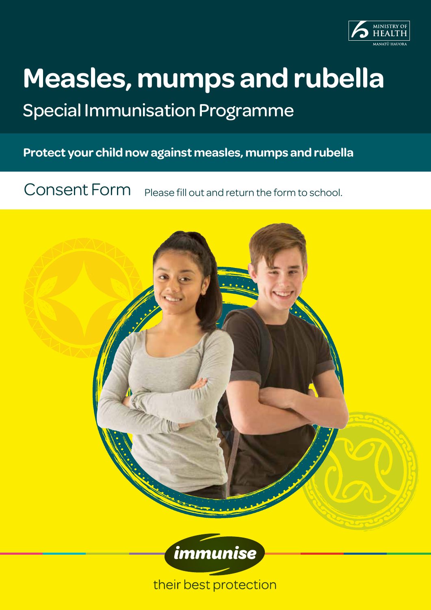

# **Measles, mumps and rubella**

## Special Immunisation Programme

**Protect your child now against measles, mumps and rubella**

Consent Form Please fill out and return the form to school.



their best protection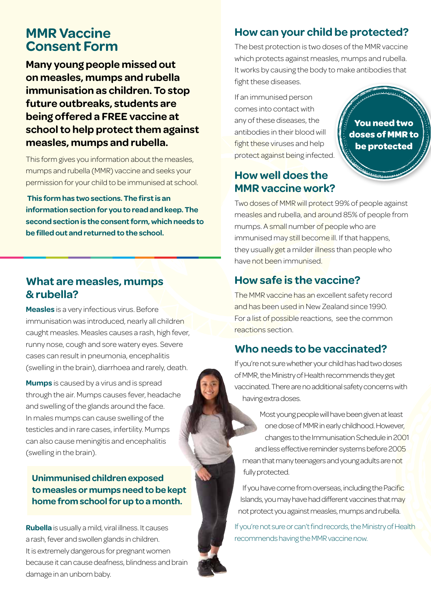## **MMR Vaccine Consent Form**

**Many young people missed out on measles, mumps and rubella immunisation as children. To stop future outbreaks, students are being offered a FREE vaccine at school to help protect them against measles, mumps and rubella.**

This form gives you information about the measles, mumps and rubella (MMR) vaccine and seeks your permission for your child to be immunised at school.

 **This form has two sections. The first is an information section for you to read and keep. The second section is the consent form, which needs to be filled out and returned to the school.**

## **What are measles, mumps & rubella?**

**Measles** is a very infectious virus. Before immunisation was introduced, nearly all children caught measles. Measles causes a rash, high fever, runny nose, cough and sore watery eyes. Severe cases can result in pneumonia, encephalitis (swelling in the brain), diarrhoea and rarely, death.

**Mumps** is caused by a virus and is spread through the air. Mumps causes fever, headache and swelling of the glands around the face. In males mumps can cause swelling of the testicles and in rare cases, infertility. Mumps can also cause meningitis and encephalitis (swelling in the brain).

#### **Unimmunised children exposed to measles or mumps need to be kept home from school for up to a month.**

**Rubella** is usually a mild, viral illness. It causes a rash, fever and swollen glands in children. It is extremely dangerous for pregnant women because it can cause deafness, blindness and brain damage in an unborn baby.

## **How can your child be protected?**

The best protection is two doses of the MMR vaccine which protects against measles, mumps and rubella. It works by causing the body to make antibodies that fight these diseases.

If an immunised person comes into contact with any of these diseases, the antibodies in their blood will fight these viruses and help protect against being infected.

## **How well does the MMR vaccine work?**

**You need two doses of MMR to be protected**

Two doses of MMR will protect 99% of people against measles and rubella, and around 85% of people from mumps. A small number of people who are immunised may still become ill. If that happens, they usually get a milder illness than people who have not been immunised.

## **How safe is the vaccine?**

The MMR vaccine has an excellent safety record and has been used in New Zealand since 1990. For a list of possible reactions, see the common reactions section.

## **Who needs to be vaccinated?**

If you're not sure whether your child has had two doses of MMR, the Ministry of Health recommends they get vaccinated. There are no additional safety concerns with having extra doses.

Most young people will have been given at least one dose of MMR in early childhood. However, changes to the Immunisation Schedule in 2001 and less effective reminder systems before 2005 mean that many teenagers and young adults are not fully protected.

If you have come from overseas, including the Pacific Islands, you may have had different vaccines that may not protect you against measles, mumps and rubella.

If you're not sure or can't find records, the Ministry of Health recommends having the MMR vaccine now.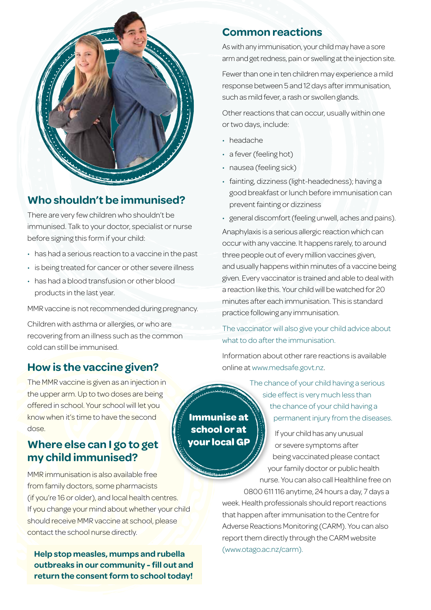

## **Who shouldn't be immunised?**

There are very few children who shouldn't be immunised. Talk to your doctor, specialist or nurse before signing this form if your child:

- has had a serious reaction to a vaccine in the past
- is being treated for cancer or other severe illness
- has had a blood transfusion or other blood products in the last year.

MMR vaccine is not recommended during pregnancy.

Children with asthma or allergies, or who are recovering from an illness such as the common cold can still be immunised.

## **How is the vaccine given?**

The MMR vaccine is given as an injection in the upper arm. Up to two doses are being offered in school. Your school will let you know when it's time to have the second dose.

## **Where else can I go to get my child immunised?**

MMR immunisation is also available free from family doctors, some pharmacists (if you're 16 or older), and local health centres. If you change your mind about whether your child should receive MMR vaccine at school, please contact the school nurse directly.

(www.otago.ac.nz/carm). **Help stop measles, mumps and rubella outbreaks in our community - fill out and return the consent form to school today!**

#### **Common reactions**

As with any immunisation, your child may have a sore arm and get redness, pain or swelling at the injection site.

Fewer than one in ten children may experience a mild response between 5 and 12 days after immunisation, such as mild fever, a rash or swollen glands.

Other reactions that can occur, usually within one or two days, include:

- headache
- a fever (feeling hot)
- nausea (feeling sick)
- fainting, dizziness (light-headedness); having a good breakfast or lunch before immunisation can prevent fainting or dizziness
- general discomfort (feeling unwell, aches and pains).

Anaphylaxis is a serious allergic reaction which can occur with any vaccine. It happens rarely, to around three people out of every million vaccines given, and usually happens within minutes of a vaccine being given. Every vaccinator is trained and able to deal with a reaction like this. Your child will be watched for 20 minutes after each immunisation. This is standard practice following any immunisation.

The vaccinator will also give your child advice about what to do after the immunisation.

Information about other rare reactions is available online at www.medsafe.govt.nz.

> The chance of your child having a serious side effect is very much less than the chance of your child having a permanent injury from the diseases.

If your child has any unusual or severe symptoms after being vaccinated please contact your family doctor or public health

nurse. You can also call Healthline free on

0800 611 116 anytime, 24 hours a day, 7 days a week. Health professionals should report reactions that happen after immunisation to the Centre for Adverse Reactions Monitoring (CARM). You can also report them directly through the CARM website

**Immunise at school or at your local GP**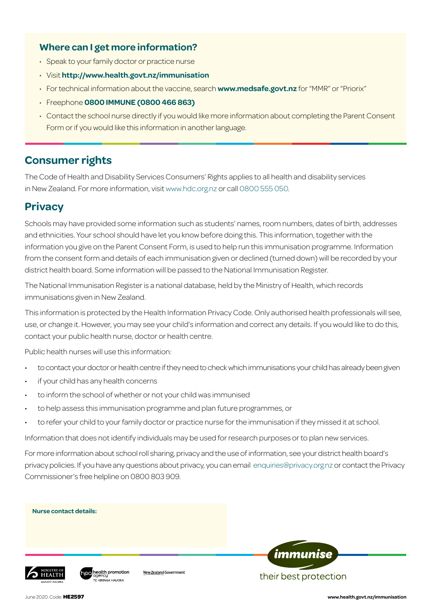#### **Where can I get more information?**

- Speak to your family doctor or practice nurse
- Visit **http://www.health.govt.nz/immunisation**
- For technical information about the vaccine, search **www.medsafe.govt.nz** for "MMR" or "Priorix"
- Freephone **0800 IMMUNE (0800 466 863)**
- Contact the school nurse directly if you would like more information about completing the Parent Consent Form or if you would like this information in another language.

## **Consumer rights**

The Code of Health and Disability Services Consumers' Rights applies to all health and disability services in New Zealand. For more information, visit www.hdc.org.nz or call 0800 555 050.

## **Privacy**

Schools may have provided some information such as students' names, room numbers, dates of birth, addresses and ethnicities. Your school should have let you know before doing this. This information, together with the information you give on the Parent Consent Form, is used to help run this immunisation programme. Information from the consent form and details of each immunisation given or declined (turned down) will be recorded by your district health board. Some information will be passed to the National Immunisation Register.

The National Immunisation Register is a national database, held by the Ministry of Health, which records immunisations given in New Zealand.

This information is protected by the Health Information Privacy Code. Only authorised health professionals will see, use, or change it. However, you may see your child's information and correct any details. If you would like to do this, contact your public health nurse, doctor or health centre.

Public health nurses will use this information:

health promotion

- to contact your doctor or health centre if they need to check which immunisations your child has already been given
- if your child has any health concerns
- to inform the school of whether or not your child was immunised
- to help assess this immunisation programme and plan future programmes, or

New Zealand Government

to refer your child to your family doctor or practice nurse for the immunisation if they missed it at school.

Information that does not identify individuals may be used for research purposes or to plan new services.

For more information about school roll sharing, privacy and the use of information, see your district health board's privacy policies. If you have any questions about privacy, you can email enquiries@privacy.org.nz or contact the Privacy Commissioner's free helpline on 0800 803 909.

**Nurse contact details:**



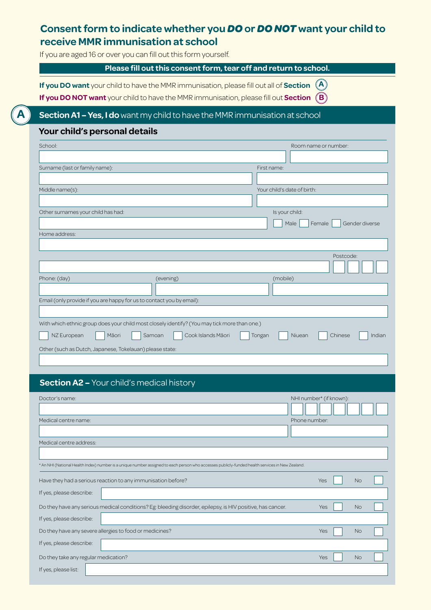## **Consent form to indicate whether you** *DO* **or** *DO NOT* **want your child to receive MMR immunisation at school**

If you are aged 16 or over you can fill out this form yourself.

#### **Please fill out this consent form, tear off and return to school.**

**If you DO want** your child to have the MMR immunisation, please fill out all of **Section A**

**If you DO NOT want** your child to have the MMR immunisation, please fill out **Section B**

#### **Section A1 – Yes, I do** want my child to have the MMR immunisation at school

#### **Your child's personal details**

**A**

**A**

| School:                                                                                      |                              |             | Room name or number:             |  |
|----------------------------------------------------------------------------------------------|------------------------------|-------------|----------------------------------|--|
|                                                                                              |                              |             |                                  |  |
| Surname (last or family name):                                                               |                              | First name: |                                  |  |
|                                                                                              |                              |             |                                  |  |
| Middle name(s):                                                                              |                              |             | Your child's date of birth:      |  |
|                                                                                              |                              |             |                                  |  |
| Other surnames your child has had:                                                           |                              |             | Is your child:                   |  |
|                                                                                              |                              |             | Male<br>Gender diverse<br>Female |  |
| Home address:                                                                                |                              |             |                                  |  |
|                                                                                              |                              |             |                                  |  |
|                                                                                              |                              |             | Postcode:                        |  |
|                                                                                              |                              |             |                                  |  |
| Phone: (day)                                                                                 | (evening)                    |             | (mobile)                         |  |
|                                                                                              |                              |             |                                  |  |
| Email (only provide if you are happy for us to contact you by email):                        |                              |             |                                  |  |
|                                                                                              |                              |             |                                  |  |
| With which ethnic group does your child most closely identify? (You may tick more than one.) |                              |             |                                  |  |
| NZ European<br>Māori                                                                         | Samoan<br>Cook Islands Māori | Tongan      | Niuean<br>Chinese<br>Indian      |  |
| Other (such as Dutch, Japanese, Tokelauan) please state:                                     |                              |             |                                  |  |

#### **Section A2 –** Your child's medical history

| Doctor's name:                       |                                                                                                                                                 | NHI number* (if known): |           |  |
|--------------------------------------|-------------------------------------------------------------------------------------------------------------------------------------------------|-------------------------|-----------|--|
|                                      |                                                                                                                                                 |                         |           |  |
| Medical centre name:                 |                                                                                                                                                 | Phone number:           |           |  |
|                                      |                                                                                                                                                 |                         |           |  |
| Medical centre address:              |                                                                                                                                                 |                         |           |  |
|                                      |                                                                                                                                                 |                         |           |  |
|                                      | * An NHI (National Health Index) number is a unique number assigned to each person who accesses publicly-funded health services in New Zealand. |                         |           |  |
|                                      | Have they had a serious reaction to any immunisation before?                                                                                    | Yes                     | <b>No</b> |  |
| If yes, please describe:             |                                                                                                                                                 |                         |           |  |
|                                      | Do they have any serious medical conditions? Eg: bleeding disorder, epilepsy, is HIV positive, has cancer.                                      | <b>Yes</b>              | <b>No</b> |  |
| If yes, please describe:             |                                                                                                                                                 |                         |           |  |
|                                      | Do they have any severe allergies to food or medicines?                                                                                         | <b>Yes</b>              | <b>No</b> |  |
| If yes, please describe:             |                                                                                                                                                 |                         |           |  |
| Do they take any regular medication? |                                                                                                                                                 | <b>Yes</b>              | <b>No</b> |  |
| If yes, please list:                 |                                                                                                                                                 |                         |           |  |
|                                      |                                                                                                                                                 |                         |           |  |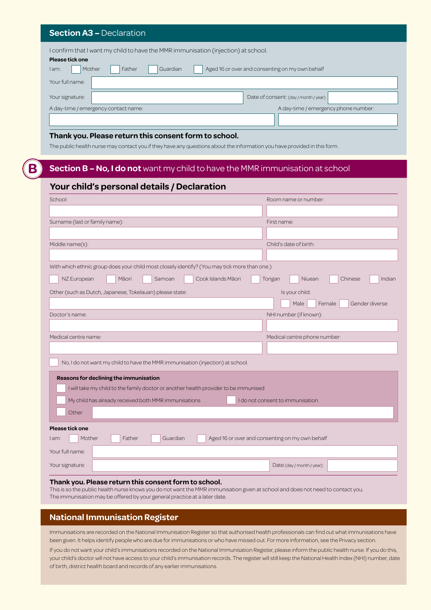#### **Section A3 –** Declaration

| I confirm that I want my child to have the MMR immunisation (injection) at school.       |                                       |  |  |
|------------------------------------------------------------------------------------------|---------------------------------------|--|--|
| Please tick one                                                                          |                                       |  |  |
| Aged 16 or over and consenting on my own behalf<br>Guardian<br>Mother<br>Father<br>I am: |                                       |  |  |
| Your full name:                                                                          |                                       |  |  |
| Your signature:                                                                          | Date of consent: (day / month / year) |  |  |
| A day-time / emergency contact name:                                                     | A day-time / emergency phone number:  |  |  |
|                                                                                          |                                       |  |  |

#### **Thank you. Please return this consent form to school.**

The public health nurse may contact you if they have any questions about the information you have provided in this form.

#### **B Section B – No, I do not** want my child to have the MMR immunisation at school

#### **Your child's personal details / Declaration**

| School:                                                                                                                                                                                  | Room name or number:                            |  |
|------------------------------------------------------------------------------------------------------------------------------------------------------------------------------------------|-------------------------------------------------|--|
|                                                                                                                                                                                          |                                                 |  |
| Surname (last or family name):                                                                                                                                                           | First name:                                     |  |
|                                                                                                                                                                                          |                                                 |  |
| Middle name(s):                                                                                                                                                                          | Child's date of birth:                          |  |
|                                                                                                                                                                                          |                                                 |  |
| With which ethnic group does your child most closely identify? (You may tick more than one.)                                                                                             |                                                 |  |
| NZ European<br>Cook Islands Māori<br>Māori<br>Samoan                                                                                                                                     | Indian<br>Tongan<br>Niuean<br>Chinese           |  |
| Other (such as Dutch, Japanese, Tokelauan) please state:                                                                                                                                 | Is your child:                                  |  |
|                                                                                                                                                                                          | Male<br>Female<br>Gender diverse                |  |
| Doctor's name:                                                                                                                                                                           | NHI number (if known):                          |  |
|                                                                                                                                                                                          |                                                 |  |
| Medical centre name:                                                                                                                                                                     | Medical centre phone number:                    |  |
|                                                                                                                                                                                          |                                                 |  |
| No, I do not want my child to have the MMR immunisation (injection) at school.                                                                                                           |                                                 |  |
| Reasons for declining the immunisation                                                                                                                                                   |                                                 |  |
| I will take my child to the family doctor or another health provider to be immunised                                                                                                     |                                                 |  |
| My child has already received both MMR immunisations                                                                                                                                     | I do not consent to immunisation                |  |
| Other                                                                                                                                                                                    |                                                 |  |
|                                                                                                                                                                                          |                                                 |  |
| Please tick one                                                                                                                                                                          |                                                 |  |
| Mother<br>Father<br>Guardian<br>l am:                                                                                                                                                    | Aged 16 or over and consenting on my own behalf |  |
| Your full name:                                                                                                                                                                          |                                                 |  |
| Your signature:                                                                                                                                                                          | Date (day / month / year):                      |  |
|                                                                                                                                                                                          |                                                 |  |
| Thank you. Please return this consent form to school.<br>This is so the public health nurse knows you do not want the MMR immunisation given at school and does not need to contact you. |                                                 |  |

The immunisation may be offered by your general practice at a later date.

#### **National Immunisation Register**

Immunisations are recorded on the National Immunisation Register so that authorised health professionals can find out what immunisations have been given. It helps identify people who are due for immunisations or who have missed out. For more information, see the Privacy section.

If you do not want your child's immunisations recorded on the National Immunisation Register, please inform the public health nurse. If you do this, your child's doctor will not have access to your child's immunisation records. The register will still keep the National Health Index (NHI) number, date of birth, district health board and records of any earlier immunisations.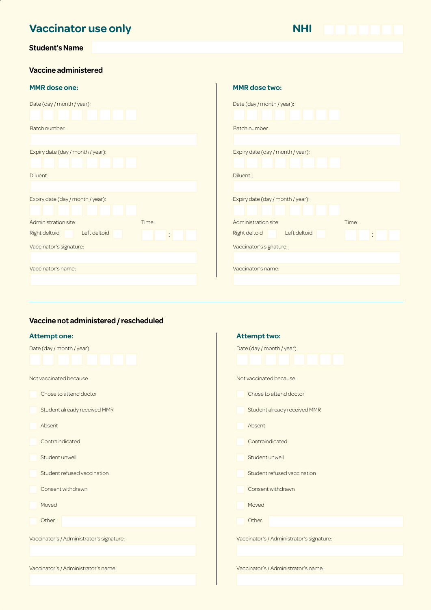## **Vaccinator use only Student's Name**

| <b>NHI</b> |  |  |
|------------|--|--|
|            |  |  |

#### **Vaccine administered**

#### **MMR dose one:**

| Date (day / month / year):           |                      |
|--------------------------------------|----------------------|
|                                      |                      |
| Batch number:                        |                      |
|                                      |                      |
| Expiry date (day / month / year):    |                      |
|                                      |                      |
| Diluent:                             |                      |
|                                      |                      |
| Expiry date (day / month / year):    |                      |
|                                      |                      |
| Administration site:                 | Time:                |
| Left deltoid<br><b>Right deltoid</b> | $\ddot{\phantom{0}}$ |
| Vaccinator's signature:              |                      |
|                                      |                      |
| Vaccinator's name:                   |                      |
|                                      |                      |
|                                      |                      |

| <b>MMR</b> dose two:              |       |
|-----------------------------------|-------|
| Date (day / month / year):        |       |
|                                   |       |
| Batch number:                     |       |
|                                   |       |
| Expiry date (day / month / year): |       |
|                                   |       |
| Diluent:                          |       |
|                                   |       |
| Expiry date (day / month / year): |       |
|                                   |       |
| Administration site:              | Time: |
| Left deltoid<br>Right deltoid     |       |
| Vaccinator's signature:           |       |
|                                   |       |
| Vaccinator's name:                |       |
|                                   |       |
|                                   |       |

#### **Vaccine not administered / rescheduled**

| <b>Attempt one:</b>                       | <b>Attempt two:</b>                       |
|-------------------------------------------|-------------------------------------------|
| Date (day / month / year):                | Date (day / month / year):                |
| Not vaccinated because:                   | Not vaccinated because:                   |
| Chose to attend doctor                    | Chose to attend doctor                    |
| Student already received MMR              | Student already received MMR              |
| Absent                                    | Absent                                    |
| Contraindicated                           | Contraindicated                           |
| Student unwell                            | Student unwell                            |
| Student refused vaccination               | Student refused vaccination               |
| Consent withdrawn                         | Consent withdrawn                         |
| Moved                                     | Moved                                     |
| Other:                                    | Other:                                    |
| Vaccinator's / Administrator's signature: | Vaccinator's / Administrator's signature: |
|                                           |                                           |
| Vaccinator's / Administrator's name:      | Vaccinator's / Administrator's name:      |
|                                           |                                           |